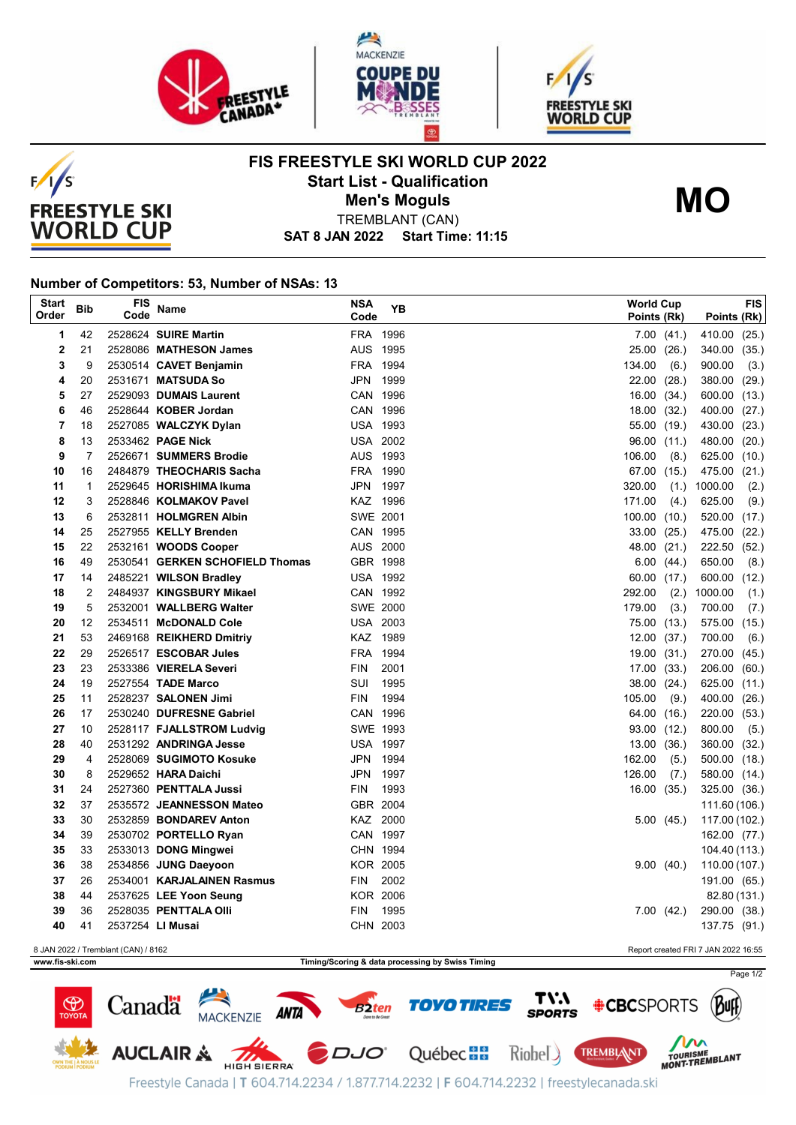





**FIS FREESTYLE SKI WORLD CUP 2022 Start List - Qualification**



TREMBLANT (CAN) **Men's Moguls MO**

**SAT 8 JAN 2022 Start Time: 11:15**

## **Number of Competitors: 53, Number of NSAs: 13**

| <b>Start</b><br>Order                                                      | <b>Bib</b>     | FIS<br>Code      | <b>Name</b>                                           | <b>NSA</b><br>Code     | ΥB   | <b>World Cup</b><br>Points (Rk) |                | Points (Rk)            | <b>FIS</b> |
|----------------------------------------------------------------------------|----------------|------------------|-------------------------------------------------------|------------------------|------|---------------------------------|----------------|------------------------|------------|
| 1                                                                          | 42             |                  | 2528624 SUIRE Martin                                  | FRA 1996               |      |                                 | $7.00$ $(41.)$ | 410.00 (25.)           |            |
| 2                                                                          | 21             |                  | 2528086 MATHESON James                                | AUS 1995               |      | 25.00                           | (26.)          | 340.00 (35.)           |            |
| 3                                                                          | 9              |                  | 2530514 CAVET Benjamin                                | <b>FRA</b>             | 1994 | 134.00                          | (6.)           | 900.00                 | (3.)       |
| 4                                                                          | 20             |                  | 2531671 MATSUDA So                                    | JPN                    | 1999 | 22.00                           | (28.)          | 380.00 (29.)           |            |
| 5                                                                          | 27             |                  | 2529093 DUMAIS Laurent                                | CAN 1996               |      | 16.00                           | (34.)          | 600.00 (13.)           |            |
| 6                                                                          | 46             |                  | 2528644 KOBER Jordan                                  | CAN 1996               |      | 18.00                           | (32.)          | 400.00 (27.)           |            |
| 7                                                                          | 18             |                  | 2527085 WALCZYK Dylan                                 | <b>USA 1993</b>        |      | 55.00                           | (19.)          | 430.00 (23.)           |            |
| 8                                                                          | 13             |                  | 2533462 PAGE Nick                                     | <b>USA 2002</b>        |      | 96.00 (11.)                     |                | 480.00 (20.)           |            |
| 9                                                                          | $\overline{7}$ |                  | 2526671 SUMMERS Brodie                                | AUS 1993               |      | 106.00                          | (8.)           | 625.00 (10.)           |            |
| 10                                                                         | 16             |                  | 2484879 THEOCHARIS Sacha                              | FRA 1990               |      | 67.00 (15.)                     |                | 475.00 (21.)           |            |
| 11                                                                         | 1              |                  | 2529645 HORISHIMA Ikuma                               | JPN 1997               |      | 320.00                          | (1.)           | 1000.00                | (2.)       |
| 12                                                                         | 3              |                  | 2528846 KOLMAKOV Pavel                                | KAZ 1996               |      | 171.00                          | (4.)           | 625.00                 | (9.)       |
| 13                                                                         | 6              |                  | 2532811 HOLMGREN Albin                                | SWE 2001               |      | 100.00(10.)                     |                | 520.00 (17.)           |            |
| 14                                                                         | 25             |                  | 2527955 KELLY Brenden                                 | CAN 1995               |      | 33.00                           | (25.)          | 475.00 (22.)           |            |
| 15                                                                         | 22             |                  | 2532161 WOODS Cooper                                  | AUS 2000               |      | 48.00                           | (21.)          | 222.50 (52.)           |            |
| 16                                                                         | 49             |                  | 2530541 GERKEN SCHOFIELD Thomas                       | GBR 1998               |      | 6.00                            | (44.)          | 650.00                 | (8.)       |
| 17                                                                         | 14             |                  | 2485221 WILSON Bradley                                | <b>USA 1992</b>        |      | 60.00 (17.)                     |                | 600.00                 | (12.)      |
| 18                                                                         | $\overline{2}$ |                  | 2484937 KINGSBURY Mikael                              | CAN 1992               |      | 292.00                          | (2.)           | 1000.00                | (1.)       |
| 19                                                                         | 5              |                  | 2532001 WALLBERG Walter                               | <b>SWE 2000</b>        |      | 179.00                          | (3.)           | 700.00                 | (7.)       |
| 20                                                                         | 12             |                  | 2534511 McDONALD Cole                                 | <b>USA 2003</b>        |      | 75.00                           | (13.)          | 575.00 (15.)           |            |
| 21                                                                         | 53             |                  | 2469168 REIKHERD Dmitriy                              | KAZ 1989               |      | 12.00                           | (37.)          | 700.00                 | (6.)       |
| 22                                                                         | 29             |                  | 2526517 ESCOBAR Jules                                 | FRA 1994               |      | 19.00                           | (31.)          | 270.00 (45.)           |            |
| 23                                                                         | 23             |                  | 2533386 VIERELA Severi                                | <b>FIN</b>             | 2001 | 17.00 (33.)                     |                | 206.00 (60.)           |            |
| 24                                                                         | 19             |                  | 2527554 TADE Marco                                    | SUI                    | 1995 | 38.00                           | (24.)          | 625.00 (11.)           |            |
| 25<br>26                                                                   | 11             |                  | 2528237 SALONEN Jimi                                  | <b>FIN</b><br>CAN 1996 | 1994 | 105.00                          | (9.)           | 400.00 (26.)           |            |
| 27                                                                         | 17<br>10       |                  | 2530240 DUFRESNE Gabriel<br>2528117 FJALLSTROM Ludvig | SWE 1993               |      | 64.00 (16.)                     |                | 220.00 (53.)<br>800.00 |            |
| 28                                                                         | 40             |                  | 2531292 ANDRINGA Jesse                                | <b>USA 1997</b>        |      | 93.00 (12.)<br>13.00            | (36.)          | 360.00 (32.)           | (5.)       |
| 29                                                                         | 4              |                  | 2528069 SUGIMOTO Kosuke                               | JPN                    | 1994 | 162.00                          | (5.)           | 500.00 (18.)           |            |
| 30                                                                         | 8              |                  | 2529652 HARA Daichi                                   | JPN                    | 1997 | 126.00                          | (7.)           | 580.00 (14.)           |            |
| 31                                                                         | 24             |                  | 2527360 PENTTALA Jussi                                | <b>FIN</b>             | 1993 | 16.00                           | (35.)          | 325.00 (36.)           |            |
| 32                                                                         | 37             |                  | 2535572 JEANNESSON Mateo                              | GBR 2004               |      |                                 |                | 111.60 (106.)          |            |
| 33                                                                         | 30             |                  | 2532859 BONDAREV Anton                                | KAZ 2000               |      |                                 | 5.00(45.)      | 117.00 (102.)          |            |
| 34                                                                         | 39             |                  | 2530702 PORTELLO Ryan                                 | CAN 1997               |      |                                 |                | 162.00 (77.)           |            |
| 35                                                                         | 33             |                  | 2533013 DONG Mingwei                                  | CHN 1994               |      |                                 |                | 104.40 (113.)          |            |
| 36                                                                         | 38             |                  | 2534856 JUNG Daeyoon                                  | <b>KOR 2005</b>        |      |                                 | 9.00(40.)      | 110.00 (107.)          |            |
| 37                                                                         | 26             |                  | 2534001 KARJALAINEN Rasmus                            | <b>FIN</b>             | 2002 |                                 |                | 191.00 (65.)           |            |
| 38                                                                         | 44             |                  | 2537625 LEE Yoon Seung                                | <b>KOR 2006</b>        |      |                                 |                | 82.80 (131.)           |            |
| 39                                                                         | 36             |                  | 2528035 PENTTALA Olli                                 | <b>FIN</b>             | 1995 |                                 | 7.00(42.)      | 290.00 (38.)           |            |
| 40                                                                         | 41             | 2537254 LI Musai |                                                       | CHN 2003               |      |                                 |                | 137.75 (91.)           |            |
| 8 JAN 2022 / Tremblant (CAN) / 8162<br>Report created FRI 7 JAN 2022 16:55 |                |                  |                                                       |                        |      |                                 |                |                        |            |

**www.fis-ski.com Timing/Scoring & data processing by Swiss Timing**